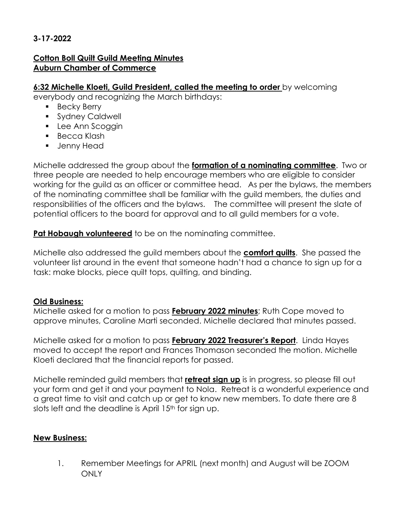## **3-17-2022**

## **Cotton Boll Quilt Guild Meeting Minutes Auburn Chamber of Commerce**

#### **6:32 Michelle Kloeti, Guild President, called the meeting to order** by welcoming

everybody and recognizing the March birthdays:

- **Becky Berry**
- **Sydney Caldwell**
- **Lee Ann Scoggin**
- **Becca Klash**
- **Jenny Head**

Michelle addressed the group about the **formation of a nominating committee**. Two or three people are needed to help encourage members who are eligible to consider working for the guild as an officer or committee head. As per the bylaws, the members of the nominating committee shall be familiar with the guild members, the duties and responsibilities of the officers and the bylaws. The committee will present the slate of potential officers to the board for approval and to all guild members for a vote.

**Pat Hobaugh volunteered** to be on the nominating committee.

Michelle also addressed the guild members about the **comfort quilts**. She passed the volunteer list around in the event that someone hadn't had a chance to sign up for a task: make blocks, piece quilt tops, quilting, and binding.

# **Old Business:**

Michelle asked for a motion to pass **February 2022 minutes**; Ruth Cope moved to approve minutes, Caroline Marti seconded. Michelle declared that minutes passed.

Michelle asked for a motion to pass **February 2022 Treasurer's Report**. Linda Hayes moved to accept the report and Frances Thomason seconded the motion. Michelle Kloeti declared that the financial reports for passed.

Michelle reminded guild members that **retreat sign up** is in progress, so please fill out your form and get it and your payment to Nola. Retreat is a wonderful experience and a great time to visit and catch up or get to know new members. To date there are 8 slots left and the deadline is April 15<sup>th</sup> for sign up.

## **New Business:**

1. Remember Meetings for APRIL (next month) and August will be ZOOM ONLY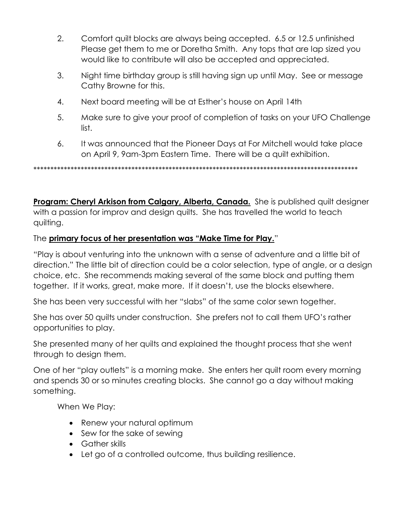- 2. Comfort quilt blocks are always being accepted. 6.5 or 12.5 unfinished Please get them to me or Doretha Smith. Any tops that are lap sized you would like to contribute will also be accepted and appreciated.
- 3. Night time birthday group is still having sign up until May. See or message Cathy Browne for this.
- 4. Next board meeting will be at Esther's house on April 14th
- 5. Make sure to give your proof of completion of tasks on your UFO Challenge list.
- 6. It was announced that the Pioneer Days at For Mitchell would take place on April 9, 9am-3pm Eastern Time. There will be a quilt exhibition.

\*\*\*\*\*\*\*\*\*\*\*\*\*\*\*\*\*\*\*\*\*\*\*\*\*\*\*\*\*\*\*\*\*\*\*\*\*\*\*\*\*\*\*\*\*\*\*\*\*\*\*\*\*\*\*\*\*\*\*\*\*\*\*\*\*\*\*\*\*\*\*\*\*\*\*\*\*\*\*\*\*\*\*\*\*\*\*\*\*\*\*\*\*\*\*\*

**Program: Cheryl Arkison from Calgary, Alberta, Canada.** She is published quilt designer with a passion for improv and design quilts. She has travelled the world to teach quilting.

## The **primary focus of her presentation was "Make Time for Play.**"

"Play is about venturing into the unknown with a sense of adventure and a little bit of direction." The little bit of direction could be a color selection, type of angle, or a design choice, etc. She recommends making several of the same block and putting them together. If it works, great, make more. If it doesn't, use the blocks elsewhere.

She has been very successful with her "slabs" of the same color sewn together.

She has over 50 quilts under construction. She prefers not to call them UFO's rather opportunities to play.

She presented many of her quilts and explained the thought process that she went through to design them.

One of her "play outlets" is a morning make. She enters her quilt room every morning and spends 30 or so minutes creating blocks. She cannot go a day without making something.

When We Play:

- Renew your natural optimum
- Sew for the sake of sewing
- Gather skills
- Let go of a controlled outcome, thus building resilience.